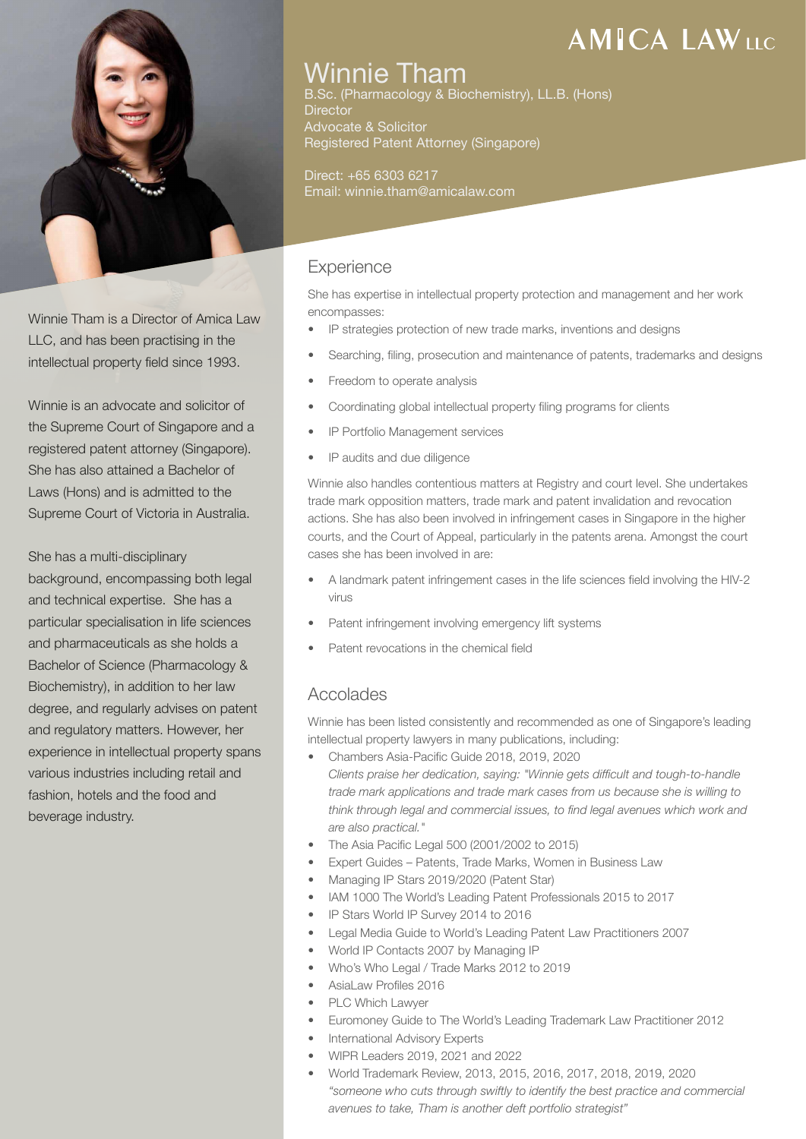

Winnie Tham is a Director of Amica Law LLC, and has been practising in the intellectual property field since 1993.

Winnie is an advocate and solicitor of the Supreme Court of Singapore and a registered patent attorney (Singapore). She has also attained a Bachelor of Laws (Hons) and is admitted to the Supreme Court of Victoria in Australia.

She has a multi-disciplinary background, encompassing both legal and technical expertise. She has a particular specialisation in life sciences and pharmaceuticals as she holds a Bachelor of Science (Pharmacology & Biochemistry), in addition to her law degree, and regularly advises on patent and regulatory matters. However, her experience in intellectual property spans various industries including retail and fashion, hotels and the food and beverage industry.

### Winnie Tham

B.Sc. (Pharmacology & Biochemistry), LL.B. (Hons) **Director** Advocate & Solicitor Registered Patent Attorney (Singapore)

Direct: +65 6303 6217 Email: winnie.tham@amicalaw.com

### **Experience**

She has expertise in intellectual property protection and management and her work encompasses:

- IP strategies protection of new trade marks, inventions and designs
- Searching, filing, prosecution and maintenance of patents, trademarks and designs
- Freedom to operate analysis
- Coordinating global intellectual property filing programs for clients
- IP Portfolio Management services
- IP audits and due diligence

Winnie also handles contentious matters at Registry and court level. She undertakes trade mark opposition matters, trade mark and patent invalidation and revocation actions. She has also been involved in infringement cases in Singapore in the higher courts, and the Court of Appeal, particularly in the patents arena. Amongst the court cases she has been involved in are:

- A landmark patent infringement cases in the life sciences field involving the HIV-2 virus
- Patent infringement involving emergency lift systems
- Patent revocations in the chemical field

### Accolades

Winnie has been listed consistently and recommended as one of Singapore's leading intellectual property lawyers in many publications, including:

- Chambers Asia-Pacific Guide 2018, 2019, 2020  *Clients praise her dedication, saying: "Winnie gets difficult and tough-to-handle trade mark applications and trade mark cases from us because she is willing to think through legal and commercial issues, to find legal avenues which work and are also practical."*
- The Asia Pacific Legal 500 (2001/2002 to 2015)
- Expert Guides Patents, Trade Marks, Women in Business Law
- Managing IP Stars 2019/2020 (Patent Star)
- IAM 1000 The World's Leading Patent Professionals 2015 to 2017
- IP Stars World IP Survey 2014 to 2016
- Legal Media Guide to World's Leading Patent Law Practitioners 2007
- World IP Contacts 2007 by Managing IP
- Who's Who Legal / Trade Marks 2012 to 2019
- AsiaLaw Profiles 2016
- PLC Which Lawyer
- Euromoney Guide to The World's Leading Trademark Law Practitioner 2012
- International Advisory Experts
- WIPR Leaders 2019, 2021 and 2022
- World Trademark Review, 2013, 2015, 2016, 2017, 2018, 2019, 2020  *"someone who cuts through swiftly to identify the best practice and commercial avenues to take, Tham is another deft portfolio strategist"*

# **AMICA LAWILE**